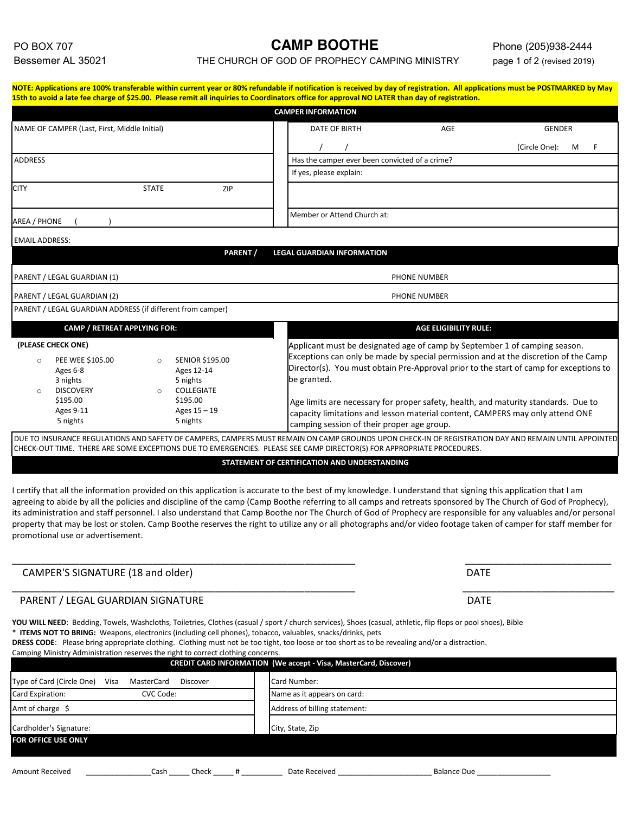## PO BOX 707 **CAMP BOOTHE** Phone (205)938-2444

Bessemer AL 35021 THE CHURCH OF GOD OF PROPHECY CAMPING MINISTRY page 1 of 2 (revised 2019)

|                                                                                                                                                      |                                                                                              | <b>CAMPER INFORMATION</b>                      |                                                                            |                                                                                                                                                                               |  |  |  |
|------------------------------------------------------------------------------------------------------------------------------------------------------|----------------------------------------------------------------------------------------------|------------------------------------------------|----------------------------------------------------------------------------|-------------------------------------------------------------------------------------------------------------------------------------------------------------------------------|--|--|--|
| NAME OF CAMPER (Last, First, Middle Initial)                                                                                                         |                                                                                              | DATE OF BIRTH                                  | AGE                                                                        | <b>GENDER</b>                                                                                                                                                                 |  |  |  |
|                                                                                                                                                      |                                                                                              |                                                |                                                                            | (Circle One):<br>M                                                                                                                                                            |  |  |  |
| <b>ADDRESS</b>                                                                                                                                       |                                                                                              | Has the camper ever been convicted of a crime? |                                                                            |                                                                                                                                                                               |  |  |  |
|                                                                                                                                                      |                                                                                              | If yes, please explain:                        |                                                                            |                                                                                                                                                                               |  |  |  |
| <b>CITY</b><br><b>STATE</b>                                                                                                                          | ZIP                                                                                          |                                                |                                                                            |                                                                                                                                                                               |  |  |  |
| AREA / PHONE                                                                                                                                         |                                                                                              | Member or Attend Church at:                    |                                                                            |                                                                                                                                                                               |  |  |  |
| <b>EMAIL ADDRESS:</b>                                                                                                                                |                                                                                              |                                                |                                                                            |                                                                                                                                                                               |  |  |  |
|                                                                                                                                                      | PARENT /                                                                                     | <b>LEGAL GUARDIAN INFORMATION</b>              |                                                                            |                                                                                                                                                                               |  |  |  |
| PARENT / LEGAL GUARDIAN (1)                                                                                                                          |                                                                                              |                                                | PHONE NUMBER                                                               |                                                                                                                                                                               |  |  |  |
|                                                                                                                                                      |                                                                                              |                                                |                                                                            |                                                                                                                                                                               |  |  |  |
| PARENT / LEGAL GUARDIAN (2)                                                                                                                          |                                                                                              |                                                | <b>PHONE NUMBER</b>                                                        |                                                                                                                                                                               |  |  |  |
| PARENT / LEGAL GUARDIAN ADDRESS (if different from camper)                                                                                           |                                                                                              |                                                |                                                                            |                                                                                                                                                                               |  |  |  |
| <b>CAMP / RETREAT APPLYING FOR:</b>                                                                                                                  |                                                                                              |                                                | <b>AGE ELIGIBILITY RULE:</b>                                               |                                                                                                                                                                               |  |  |  |
| (PLEASE CHECK ONE)                                                                                                                                   |                                                                                              |                                                | Applicant must be designated age of camp by September 1 of camping season. |                                                                                                                                                                               |  |  |  |
| PEE WEE \$105.00<br>$\circ$<br>Ages 6-8<br>3 nights<br><b>DISCOVERY</b><br>$\circ$                                                                   | <b>SENIOR \$195.00</b><br>$\circ$<br>Ages 12-14<br>5 nights<br><b>COLLEGIATE</b><br>$\Omega$ | be granted.                                    |                                                                            | Exceptions can only be made by special permission and at the discretion of the Camp<br>Director(s). You must obtain Pre-Approval prior to the start of camp for exceptions to |  |  |  |
| \$195.00<br>Ages 9-11<br>5 nights                                                                                                                    | \$195.00<br>Ages 15 - 19<br>5 nights                                                         | camping session of their proper age group.     |                                                                            | Age limits are necessary for proper safety, health, and maturity standards. Due to<br>capacity limitations and lesson material content, CAMPERS may only attend ONE           |  |  |  |
| DUE TO INSURANCE REGULATIONS AND SAFETY OF CAMPERS, CAMPERS MUST REMAIN ON CAMP GROUNDS UPON CHECK-IN OF REGISTRATION DAY AND REMAIN UNTIL APPOINTED |                                                                                              |                                                |                                                                            |                                                                                                                                                                               |  |  |  |
| CHECK-OUT TIME. THERE ARE SOME EXCEPTIONS DUE TO EMERGENCIES. PLEASE SEE CAMP DIRECTOR(S) FOR APPROPRIATE PROCEDURES.                                |                                                                                              |                                                |                                                                            |                                                                                                                                                                               |  |  |  |

I certify that all the information provided on this application is accurate to the best of my knowledge. I understand that signing this application that I am agreeing to abide by all the policies and discipline of the camp (Camp Boothe referring to all camps and retreats sponsored by The Church of God of Prophecy), its administration and staff personnel. I also understand that Camp Boothe nor The Church of God of Prophecy are responsible for any valuables and/or personal property that may be lost or stolen. Camp Boothe reserves the right to utilize any or all photographs and/or video footage taken of camper for staff member for promotional use or advertisement.

\_\_\_\_\_\_\_\_\_\_\_\_\_\_\_\_\_\_\_\_\_\_\_\_\_\_\_\_\_\_\_\_\_\_\_\_\_\_\_\_\_\_\_\_\_\_\_\_\_\_\_\_\_\_\_\_\_\_\_\_\_ \_\_\_\_\_\_\_\_\_\_\_\_\_\_\_\_\_\_\_\_\_\_\_\_\_\_

\_\_\_\_\_\_\_\_\_\_\_\_\_\_\_\_\_\_\_\_\_\_\_\_\_\_\_\_\_\_\_\_\_\_\_\_\_\_\_\_\_\_\_\_\_\_\_\_\_\_\_\_\_\_\_\_\_\_\_\_\_ \_\_\_\_\_\_\_\_\_\_\_\_\_\_\_\_\_\_\_\_\_\_\_\_\_\_\_

## CAMPER'S SIGNATURE (18 and older) DATE

## PARENT / LEGAL GUARDIAN SIGNATURE DATE

YOU WILL NEED: Bedding, Towels, Washcloths, Toiletries, Clothes (casual / sport / church services), Shoes (casual, athletic, flip flops or pool shoes), Bible \* **ITEMS NOT TO BRING:** Weapons, electronics (including cell phones), tobacco, valuables, snacks/drinks, pets

**DRESS CODE**: Please bring appropriate clothing. Clothing must not be too tight, too loose or too short as to be revealing and/or a distraction.

| Camping Ministry Administration reserves the right to correct clothing concerns. |            |          |   | DRESS CODE. Thease bring appropriate clothing. Clothing must not be too ught, too loose or too short as to be revealing and/or a uistraction. |                    |  |
|----------------------------------------------------------------------------------|------------|----------|---|-----------------------------------------------------------------------------------------------------------------------------------------------|--------------------|--|
|                                                                                  |            |          |   | CREDIT CARD INFORMATION (We accept - Visa, MasterCard, Discover)                                                                              |                    |  |
| Type of Card (Circle One)<br>Visa                                                | MasterCard | Discover |   | Card Number:                                                                                                                                  |                    |  |
| Card Expiration:<br>CVC Code:                                                    |            |          |   | Name as it appears on card:                                                                                                                   |                    |  |
| Amt of charge \$                                                                 |            |          |   | Address of billing statement:                                                                                                                 |                    |  |
| Cardholder's Signature:                                                          |            |          |   | City, State, Zip                                                                                                                              |                    |  |
| <b>FOR OFFICE USE ONLY</b>                                                       |            |          |   |                                                                                                                                               |                    |  |
|                                                                                  |            |          |   |                                                                                                                                               |                    |  |
| <b>Amount Received</b>                                                           | Cash       | Check    | # | Date Received                                                                                                                                 | <b>Balance Due</b> |  |